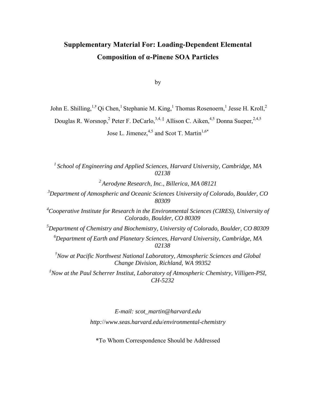## **Supplementary Material For: Loading-Dependent Elemental Composition of α-Pinene SOA Particles**

by

John E. Shilling,<sup>1,†</sup> Qi Chen,<sup>1</sup> Stephanie M. King,<sup>1</sup> Thomas Rosenoern,<sup>1</sup> Jesse H. Kroll,<sup>2</sup>

Douglas R. Worsnop,<sup>2</sup> Peter F. DeCarlo,<sup>3,4,‡</sup> Allison C. Aiken,<sup>4,5</sup> Donna Sueper,<sup>2,4,5</sup>

Jose L. Jimenez,  $4,5$  and Scot T. Martin<sup>1,6\*</sup>

*1 School of Engineering and Applied Sciences, Harvard University, Cambridge, MA 02138 2 Aerodyne Research, Inc., Billerica, MA 08121 3 Department of Atmospheric and Oceanic Sciences University of Colorado, Boulder, CO 80309*  <sup>4</sup> Cooperative Institute for Research in the Environmental Sciences (CIRES), University of *Colorado, Boulder, CO 80309 5 Department of Chemistry and Biochemistry, University of Colorado, Boulder, CO 80309 6 Department of Earth and Planetary Sciences, Harvard University, Cambridge, MA 02138* 

*† Now at Pacific Northwest National Laboratory, Atmospheric Sciences and Global Change Division, Richland, WA 99352* 

*‡ Now at the Paul Scherrer Institut, Laboratory of Atmospheric Chemistry, Villigen-PSI, CH-5232* 

> *E-mail: scot\_martin@harvard.edu http:*//*www.seas.harvard.edu*/*environmental-chemistry*

\*To Whom Correspondence Should be Addressed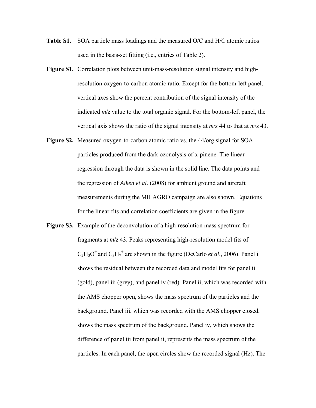- **Table S1.** SOA particle mass loadings and the measured O/C and H/C atomic ratios used in the basis-set fitting (i.e., entries of Table 2).
- **Figure S1.** Correlation plots between unit-mass-resolution signal intensity and highresolution oxygen-to-carbon atomic ratio. Except for the bottom-left panel, vertical axes show the percent contribution of the signal intensity of the indicated *m*/*z* value to the total organic signal. For the bottom-left panel, the vertical axis shows the ratio of the signal intensity at *m*/*z* 44 to that at *m*/*z* 43.
- **Figure S2.** Measured oxygen-to-carbon atomic ratio vs. the 44/org signal for SOA particles produced from the dark ozonolysis of  $\alpha$ -pinene. The linear regression through the data is shown in the solid line. The data points and the regression of *Aiken et al.* (2008) for ambient ground and aircraft measurements during the MILAGRO campaign are also shown. Equations for the linear fits and correlation coefficients are given in the figure.
- **Figure S3.** Example of the deconvolution of a high-resolution mass spectrum for fragments at *m*/*z* 43. Peaks representing high-resolution model fits of  $C_2H_3O^+$  and  $C_3H_7^+$  are shown in the figure (DeCarlo *et al.*, 2006). Panel i shows the residual between the recorded data and model fits for panel ii (gold), panel iii (grey), and panel iv (red). Panel ii, which was recorded with the AMS chopper open, shows the mass spectrum of the particles and the background. Panel iii, which was recorded with the AMS chopper closed, shows the mass spectrum of the background. Panel iv, which shows the difference of panel iii from panel ii, represents the mass spectrum of the particles. In each panel, the open circles show the recorded signal (Hz). The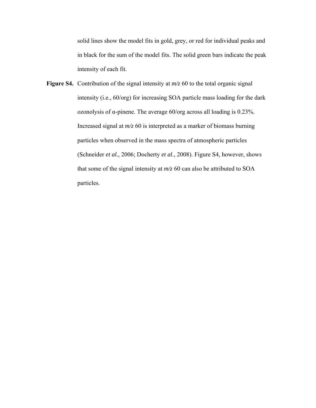solid lines show the model fits in gold, grey, or red for individual peaks and in black for the sum of the model fits. The solid green bars indicate the peak intensity of each fit.

**Figure S4.** Contribution of the signal intensity at *m/z* 60 to the total organic signal intensity (i.e., 60/org) for increasing SOA particle mass loading for the dark ozonolysis of α-pinene. The average 60/org across all loading is 0.23%. Increased signal at *m/z* 60 is interpreted as a marker of biomass burning particles when observed in the mass spectra of atmospheric particles (Schneider *et al.*, 2006; Docherty *et al.*, 2008). Figure S4, however, shows that some of the signal intensity at *m/z* 60 can also be attributed to SOA particles.